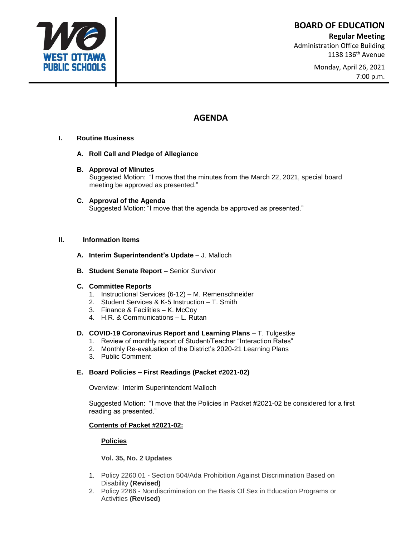**BOARD OF EDUCATION**

## **Regular Meeting**

Administration Office Building 1138 136<sup>th</sup> Avenue

> Monday, April 26, 2021 7:00 p.m.

# **AGENDA**

## **I. Routine Business**

- **A. Roll Call and Pledge of Allegiance**
- **B. Approval of Minutes** Suggested Motion: "I move that the minutes from the March 22, 2021, special board meeting be approved as presented."
- **C. Approval of the Agenda**  Suggested Motion: "I move that the agenda be approved as presented."

## **II. Information Items**

- **A. Interim Superintendent's Update** J. Malloch
- **B. Student Senate Report** Senior Survivor

## **C. Committee Reports**

- 1. Instructional Services (6-12) M. Remenschneider
- 2. Student Services & K-5 Instruction T. Smith
- 3. Finance & Facilities K. McCoy
- 4. H.R. & Communications L. Rutan

## **D. COVID-19 Coronavirus Report and Learning Plans - T. Tulgestke**

- 1. Review of monthly report of Student/Teacher "Interaction Rates"
- 2. Monthly Re-evaluation of the District's 2020-21 Learning Plans
- 3. Public Comment

## **E. Board Policies – First Readings (Packet #2021-02)**

Overview: Interim Superintendent Malloch

Suggested Motion: "I move that the Policies in Packet #2021-02 be considered for a first reading as presented."

## **Contents of Packet #2021-02:**

## **Policies**

## **Vol. 35, No. 2 Updates**

- 1. Policy 2260.01 Section 504/Ada Prohibition Against [Discrimination](https://go.boarddocs.com/mi/wops/Board.nsf/Public?open&id=policies) Based on [Disability](https://go.boarddocs.com/mi/wops/Board.nsf/Public?open&id=policies) **(Revised)**
- 2. Policy 2266 [Nondiscrimination](https://go.boarddocs.com/mi/wops/Board.nsf/Public?open&id=policies) on the Basis Of Sex in Education Programs or [Activities](https://go.boarddocs.com/mi/wops/Board.nsf/Public?open&id=policies) **(Revised)**

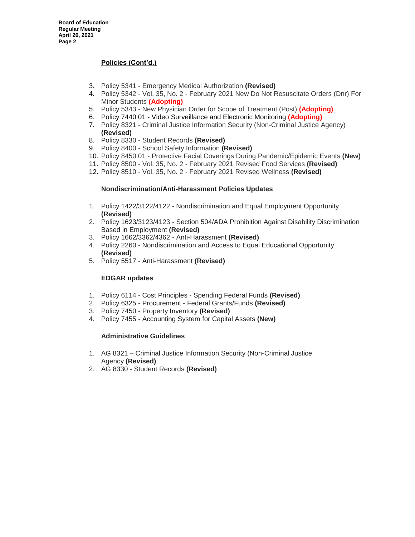## **Policies (Cont'd.)**

- 3. Policy 5341 Emergency Medical [Authorization](https://go.boarddocs.com/mi/wops/Board.nsf/Public?open&id=policies) **(Revised)**
- 4. Policy 5342 Vol. 35, No. 2 February 2021 New Do Not [Resuscitate](https://go.boarddocs.com/mi/wops/Board.nsf/Public?open&id=policies) Orders (Dnr) For Minor [Students](https://go.boarddocs.com/mi/wops/Board.nsf/Public?open&id=policies) **(Adopting)**
- 5. Policy 5343 New Physician Order for Scope of [Treatment](https://go.boarddocs.com/mi/wops/Board.nsf/Public?open&id=policies) (Post) **(Adopting)**
- 6. Policy 7440.01 Video [Surveillance](https://go.boarddocs.com/mi/wops/Board.nsf/Public?open&id=policies) and Electronic Monitoring **(Adopting)**
- 7. Policy 8321 Criminal Justice Information Security [\(Non-Criminal](https://go.boarddocs.com/mi/wops/Board.nsf/Public?open&id=policies) Justice Agency) **(Revised)**
- 8. Policy 8330 Student [Records](https://go.boarddocs.com/mi/wops/Board.nsf/Public?open&id=policies) **(Revised)**
- 9. Policy 8400 School Safety [Information](https://go.boarddocs.com/mi/wops/Board.nsf/Public?open&id=policies) **(Revised)**
- 10. Policy 8450.01 Protective Facial Coverings During [Pandemic/Epidemic](https://go.boarddocs.com/mi/wops/Board.nsf/Public?open&id=policies) Events **(New)**
- 11. Policy 8500 Vol. 35, No. 2 [February](https://go.boarddocs.com/mi/wops/Board.nsf/Public?open&id=policies) 2021 Revised Food Services **(Revised)**
- 12. Policy 8510 Vol. 35, No. 2 February 2021 Revised [Wellness](https://go.boarddocs.com/mi/wops/Board.nsf/Public?open&id=policies) **(Revised)**

## **Nondiscrimination/Anti-Harassment Policies Updates**

- 1. Policy 1422/3122/4122 Nondiscrimination and Equal Employment Opportunity **(Revised)**
- 2. Policy 1623/3123/4123 Section 504/ADA Prohibition Against Disability Discrimination Based in Employment **(Revised)**
- 3. Policy 1662/3362/4362 Anti-Harassment **(Revised)**
- 4. Policy 2260 Nondiscrimination and Access to Equal Educational Opportunity **(Revised)**
- 5. Policy 5517 Anti-Harassment **(Revised)**

## **EDGAR updates**

- 1. Policy 6114 Cost Principles Spending Federal Funds **(Revised)**
- 2. Policy 6325 Procurement Federal Grants/Funds **(Revised)**
- 3. Policy 7450 Property Inventory **(Revised)**
- 4. Policy 7455 Accounting System for Capital Assets **(New)**

## **Administrative Guidelines**

- 1. AG 8321 Criminal Justice Information Security (Non-Criminal Justice Agency **(Revised)**
- 2. AG 8330 Student Records **(Revised)**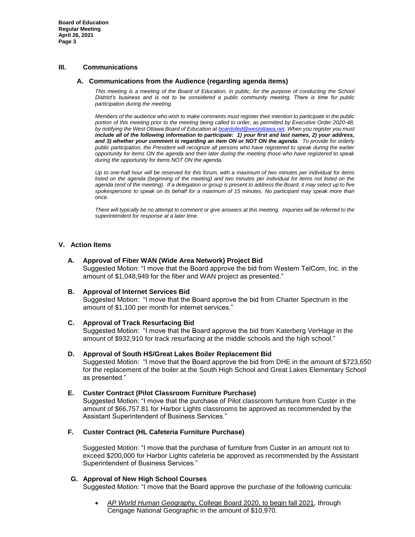**Board of Education Regular Meeting April 26, 2021 Page 3**

## **III. Communications**

#### **A. Communications from the Audience (regarding agenda items)**

*This meeting is a meeting of the Board of Education, in public, for the purpose of conducting the School District's business and is not to be considered a public community meeting. There is time for public participation during the meeting.*

*Members of the audience who wish to make comments must register their intention to participate in the public portion of this meeting prior to the meeting being called to order, as permitted by Executive Order 2020-48, by notifying the West Ottawa Board of Education a[t boardofed@westottawa.net.](mailto:boardofed@westottawa.net) When you register you must include all of the following information to participate: 1) your first and last names, 2) your address, and 3) whether your comment is regarding an item ON or NOT ON the agenda. To provide for orderly public participation, the President will recognize all persons who have registered to speak during the earlier opportunity for items ON the agenda and then later during the meeting those who have registered to speak during the opportunity for items NOT ON the agenda.* 

*Up to one-half hour will be reserved for this forum, with a maximum of two minutes per individual for items*  listed on the agenda (beginning of the meeting) and two minutes per individual for items not listed on the *agenda (end of the meeting). If a delegation or group is present to address the Board, it may select up to five spokespersons to speak on its behalf for a maximum of 15 minutes. No participant may speak more than once.*

*There will typically be no attempt to comment or give answers at this meeting. Inquiries will be referred to the superintendent for response at a later time.*

## **V. Action Items**

#### **A. Approval of Fiber WAN (Wide Area Network) Project Bid**

Suggested Motion: "I move that the Board approve the bid from Western TelCom, Inc. in the amount of \$1,048,949 for the fiber and WAN project as presented."

#### **B. Approval of Internet Services Bid**

Suggested Motion: "I move that the Board approve the bid from Charter Spectrum in the amount of \$1,100 per month for internet services."

## **C. Approval of Track Resurfacing Bid**

Suggested Motion: "I move that the Board approve the bid from Katerberg VerHage in the amount of \$932,910 for track resurfacing at the middle schools and the high school."

#### **D. Approval of South HS/Great Lakes Boiler Replacement Bid**

Suggested Motion: "I move that the Board approve the bid from DHE in the amount of \$723,650 for the replacement of the boiler at the South High School and Great Lakes Elementary School as presented."

## **E. Custer Contract (Pilot Classroom Furniture Purchase)**

Suggested Motion: "I move that the purchase of Pilot classroom furniture from Custer in the amount of \$66,757.81 for Harbor Lights classrooms be approved as recommended by the Assistant Superintendent of Business Services."

## **F. Custer Contract (HL Cafeteria Furniture Purchase)**

Suggested Motion: "I move that the purchase of furniture from Custer in an amount not to exceed \$200,000 for Harbor Lights cafeteria be approved as recommended by the Assistant Superintendent of Business Services."

## **G. Approval of New High School Courses**

Suggested Motion: "I move that the Board approve the purchase of the following curricula:

• *AP World Human Geography,* College Board 2020, to begin fall 2021*,* through Cengage National Geographic in the amount of \$10,970.